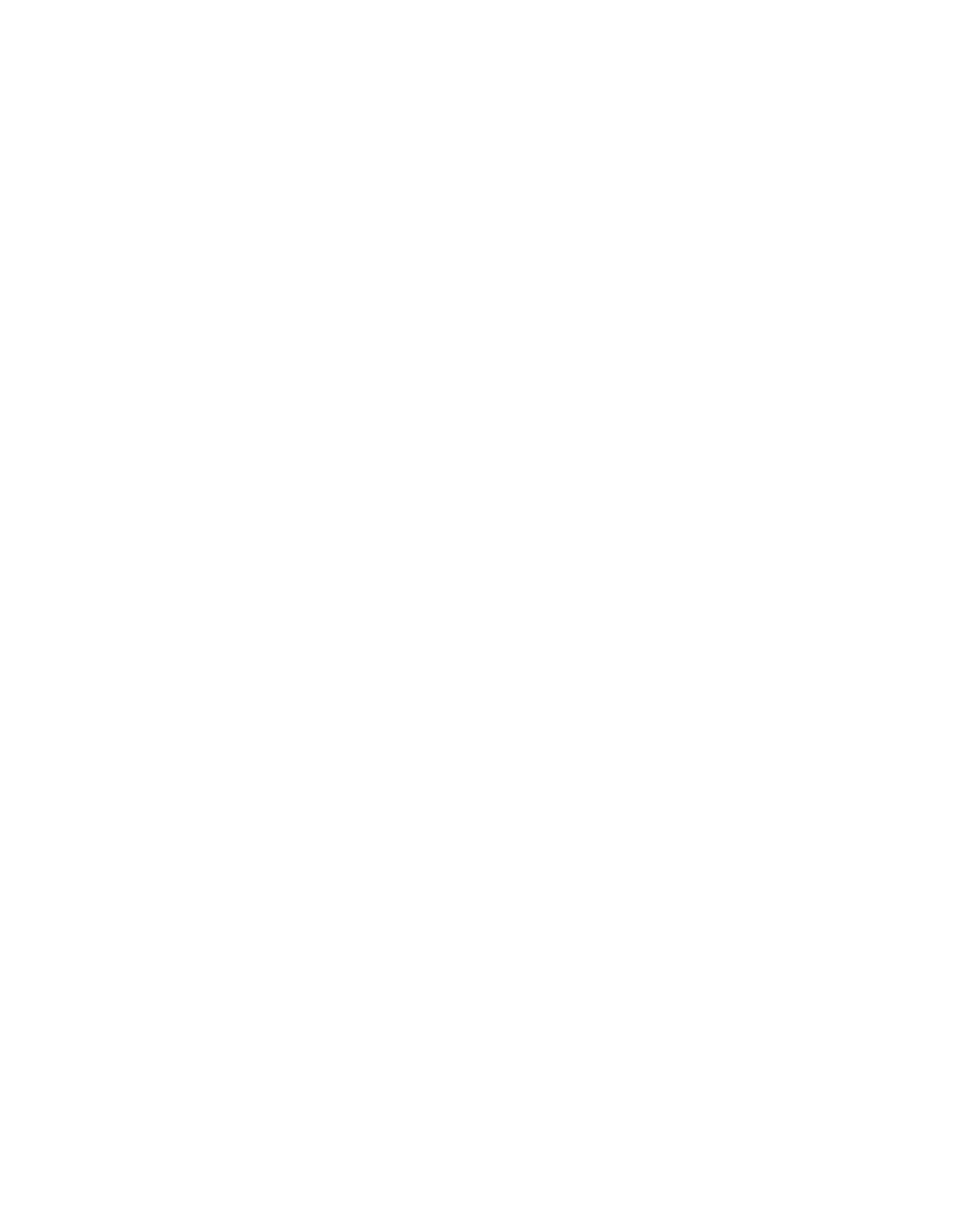# **PARTS LIST:**

|                | LD1 Front Bumper Assembly                      | 6              | 10-1.5mm x 35mm Hex Bolts         |
|----------------|------------------------------------------------|----------------|-----------------------------------|
|                | <b>Driver/left Frame Mounting Bracket</b>      | 12             | 10mm x 27mm OD x 3mm Flat Washers |
|                | Passenger/right Frame Mounting Bracket         | 6              | 10mm Lock Washers                 |
| $\mathcal{P}$  | <b>Tow Hook Extension Brackets</b>             | 6              | 10mm Hex Nuts                     |
| 4              | Spacers (tow hooks)                            | 2              | 8mm x 16mm Hex Bolts              |
|                | <b>License Plate Bracket</b>                   | $\overline{2}$ | 8mm x 25mm Hex Bolts              |
| $\overline{2}$ | Plastic Plugs for License Plate                | $\overline{2}$ | 8mm Hex Nut                       |
| 4              | <b>Sensor Plugs</b>                            | 4              | 8mm Lock Washer                   |
|                | Driver/left "L" Bracket (center LED light)     | 6              | 8mm x 24mm x 2mm Flat Washers     |
| 1              | Passenger/right "L" Bracket (center LED light) | 2              | 6mm x 20mm Button Head Bolts      |
| $\overline{2}$ | 12mm x 30mm Double Bolt Plates                 | 4              | 6mm x 18mm x 1.6 Flat Washers     |
| $\overline{2}$ | 12mm x 35mm Single Bolt Plates                 | 2              | 6mm Nylon Lock Nuts               |
| 6              | 12mm x 24mm OD x 2.5mm Flat Washers            | 1              | 6mm Wrench                        |
| 6              | 12mm Lock Washers                              | 4              | 4mm x 10mm Socket Head Screws     |
| 6              | 12mm Hex Nuts                                  |                | 4mm Wrench                        |
|                |                                                | 10             | <b>Nylon Wire Ties</b>            |



# **PROCEDURE:**

**REMOVE CONTENTS FROM BOX. VERIFY ALL PARTS ARE PRESENT. READ INSTRUCTIONS CAREFULLY BEFORE STARTING INSTALLATION. ASSISTANCE IS HIGHLY RECOMMENDED TO AVOID POSSIBLE INJURY OR DAMAGE TO THE VEHICLE.**

- **1.** Remove the license plate and bracket. On models with factory fog lights and/or bumper sensors, unplug the wiring harness leading to the bumper, **(Figure 1)**. Move harness away from bumper.
- **2.** Next, locate and remove the screws attaching the ends of the plastic body panel, (facia), to the fenders. **NOTE**: Facia body panel fills the area between the headlights and the top of the bumper. From behind the bumper, release the clips attaching the facia body panel to the bottom of the grille and remove the panel. **(Figure 2)**.
- **3.** Open the hood and remove the cover between the top of the radiator and the grille, **(Figure 3)**. Remove the bolts attaching the top and bottom of the grille and remove the grille.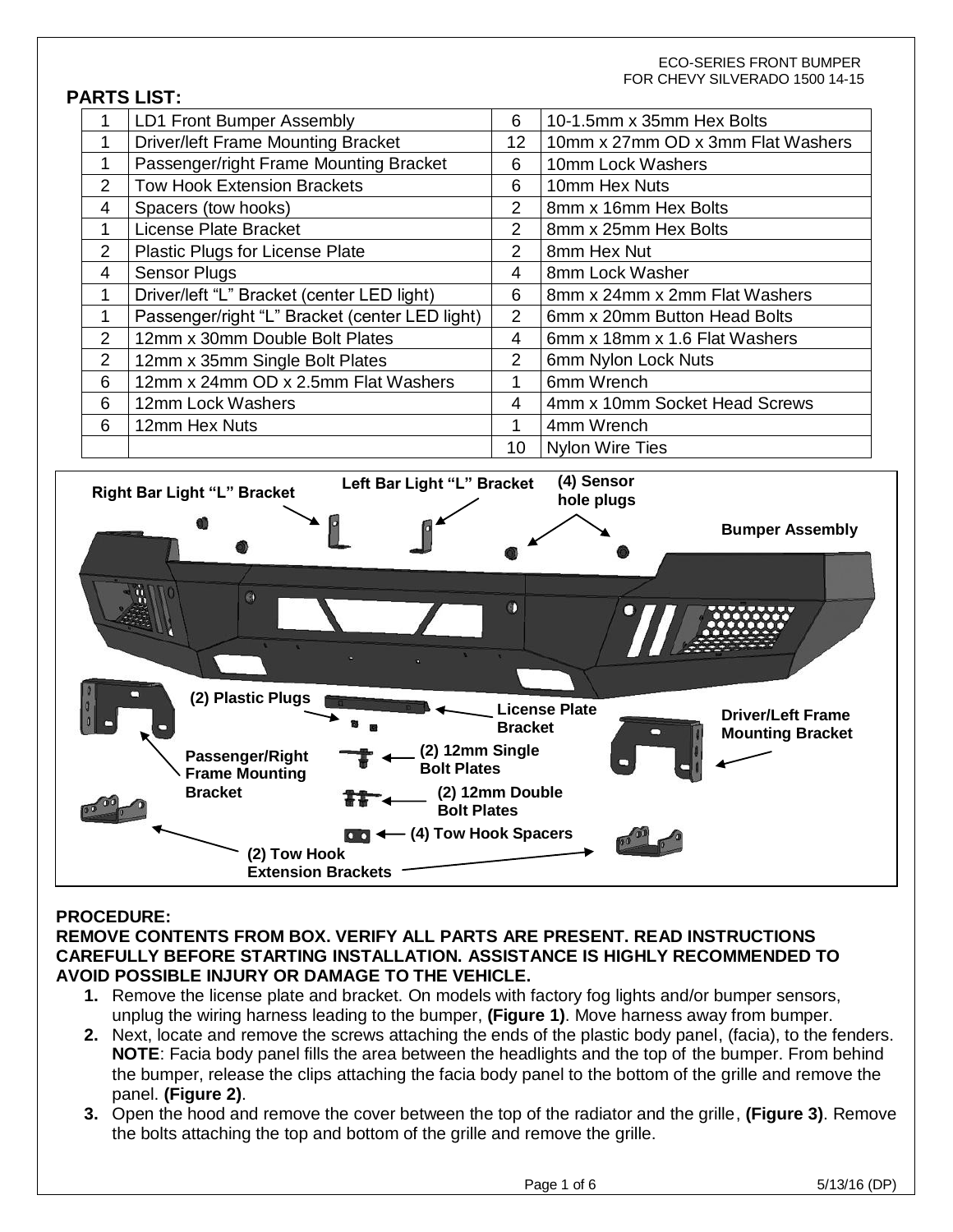- **4.** From behind the bumper, remove the outer bumper supports on each side of the frame.
- **5.** Place blocks or jack stands under the front bumper to support it during mounting bolt removal. Once the bumper has been safely supported, from above, remove the (4) large factory bumper bolts, (two per side), attaching the bumper assembly to the frame bracket bolted to the end of the frame, **(Figure 4)**. **WARNING!** Assistance is required to hold the bumper in place during bolt removal to prevent the bumper from falling. Carefully slide the bumper assembly with brackets off of the ends of the frame.
- **6.** Once bumper has been removed, also remove the plastic brackets from the bottom of the headlight assemblies, **(Figure 5)**. Reinstall the grille and top cover removed in **Steps 2 & 3**.
- **7.** Remove both bumper brackets and tow hooks from the ends of the frame, **(Figure 6)**.
- **8.** Select the driver side Frame Mounting Bracket. Reuse the factory bumper bolts to attach the Frame Bracket to the threaded bumper mount, **(Figure 7)**. Do not fully tighten hardware at this time.
- **9.** Repeat **Step 8** to install the passenger side Frame Bracket.

# **On models without tow hooks, skip to Step 13**.

- **10.** Next, select (1) Single Bolt Plate and (1) Double Bolt Plate, **(Figure 8)**. Insert the Bolt Plates into the open end of the frame, with the long end on the plate in first toward the back. Select (1) Tow Hook Extension Bracket. Slide the Bracket over the end of the frame. Line up the slots in the Bracket with the factory tow hook mounting holes. Secure the Bracket to the Bolt Plates with (3) 12mm Flat Washers, (3) 12mm Lock Washers and (3) 12mm Hex Nuts, **(Figure 9)**. Leave loose at this time.
- **11.** Select (1) tow hook. Place the tow hook on top of the Extension Bracket. Slide (1) Spacer Plate between each side of the tow hook and the Bracket. Reuse the factory hardware to attach the tow hook to the Extension Bracket, **(Figure 10)**. Push the tow hook, spacers and Extension Bracket in and fully tighten tow hook and extension bracket hardware only. Do not fully tighten Frame Bracket hardware at this time.
- **12.** Repeat **Steps 10 & 11** to install the passenger side Extension Bracket and tow hook if equipped.
- **13.** With assistance, position the Bumper Assembly up to and over the Frame Brackets. Temporarily support the weight of the Bumper. **WARNING**: To avoid possible injury or damage to the vehicle, do not proceed until the Bumper is fully and safely supported.
- **14.** Line up the (3) holes in the driver side mounting plate on the back of the Bumper with the (3) slots in the Frame Bracket. Attach the Bumper to the Bracket with the included (3) 10mm x 35mm Hex Bolts, (6) 10mm Flat Washers, (3) 10mm Lock Washers and (3) 10mm Hex Nuts, **(Figures 11 & 12)**. Do not fully tighten hardware at this time. Repeat this **Step** to attach the passenger side of the Bumper to the Frame Bracket.

**15.** Level and adjust the bumper and fully tighten all hardware.

# **Models without bumper sensors:**

- **a.** Select the included (4) Rubber Plugs.
- **b.** From behind bumper, push plugs into sensor mounting holes, **(Figure 13)**.

# **Models with bumper mounted sensors**:

- **a.** Push the sensor into the mounting socket in the back of the bumper.
- **b.** Secure each sensor to the socket with (2) 4mm x 10mm Button Head Screws, **(Figure 13)**. **IMPORTANT**: Sensors fit snug in sockets. The 4mm Screws are used to apply slight pressure to lock the sensors in place. Tighten both screws evenly until they touch the sensor body only. Do not overtighten screws or damage to sensors will result.
- **16.** If front license plate is required, attach the License Plate Bracket to the holes in the bumper with the included (2) 6mm x 20mm Button Head Screws, (4) 6mm Flat Washers and (2) 6mm Nylon Lock Nuts. Insert (2) Plastic Plugs into the square holes in the Bracket. Reuse the factory screws to attach the license plate to the plastic plugs, **(Figure 14)**.
- **17. Center LED light installation** as supplied with bumper or sold separately.
	- **a.** Select the L/R "L" Brackets, **(Figure 15)**. Attach the Brackets to the top of the (2) mounting tabs welded onto the back of the bumper with the included 8mm x 25mm Hex Bolts, (4) 8mm Flat Washers, (2) 8mm Lock Washers and (2) 8mm Hex Nuts. Leave loose at this time.
	- **b.** Attach the LED light assembly to the "L" Brackets with the included (2) 8mm x 16mm Hex Bolts, (2) 8mm Lock Washers and (2) 8mm Flat Washers. Do not fully tighten hardware at this time. **IMPORTANT:** "L" Brackets are designed for 8mm light mounting hardware only. Modify "L" Brackets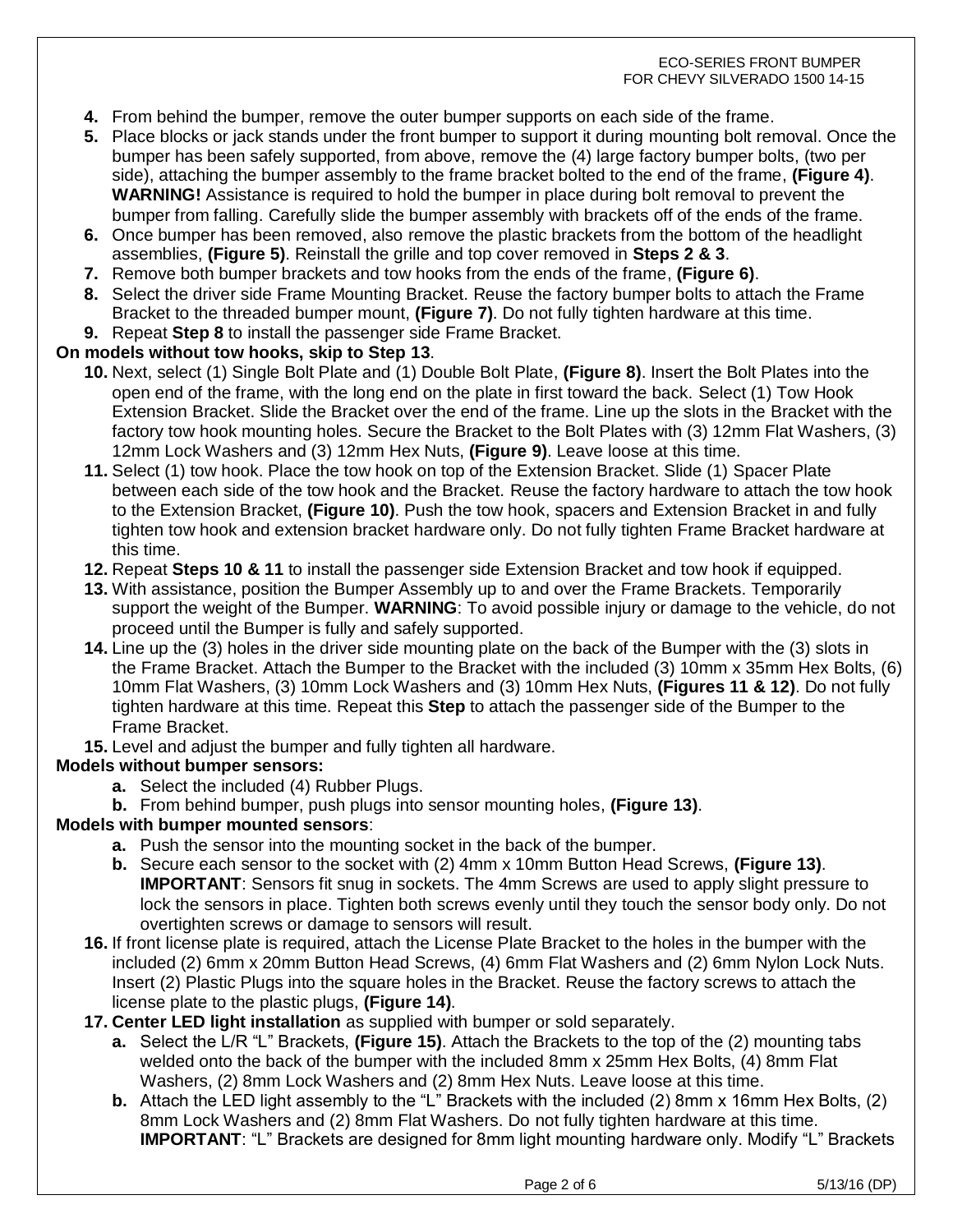if necessary or use brackets supplied by your light manufacturer if possible to install hardware larger than 8mm.

- **c.** Follow light manufacturer's instructions to properly wire the light.
- **18. LED light installation at ends of bumper** as supplied with bumper or sold separately.
	- **a.** Insert light into opening and up to mounting slots. Check for clearance between front and back of light. If necessary, remove the screen from the back of the opening, **(Figure 16)**.
	- **b.** Follow the light manufacturer's instructions to attach (1) light to the center slot or (2) lights to the inner and outer slots in the top of the light opening. **IMPORTANT**: On two light systems with (1) flood and (1) spot light per side, attach the flood light to the outer and the spot light to the inner slot.
	- **c.** Repeat the above steps for passenger side light installation.
	- **d.** Follow light manufacturer's instructions to properly wire the light.
- **19.** Do periodic inspections to the installation to make sure that all hardware is secure and tight.

**To protect your investment**, wax this product after installing. Regular waxing is recommended to add a protective layer over the finish. Do not use any type of polish or wax that may contain abrasives that could damage the finish. Mild soap may be used to clean the Front Bumper assembly.



# **Driver Side Installation Pictured**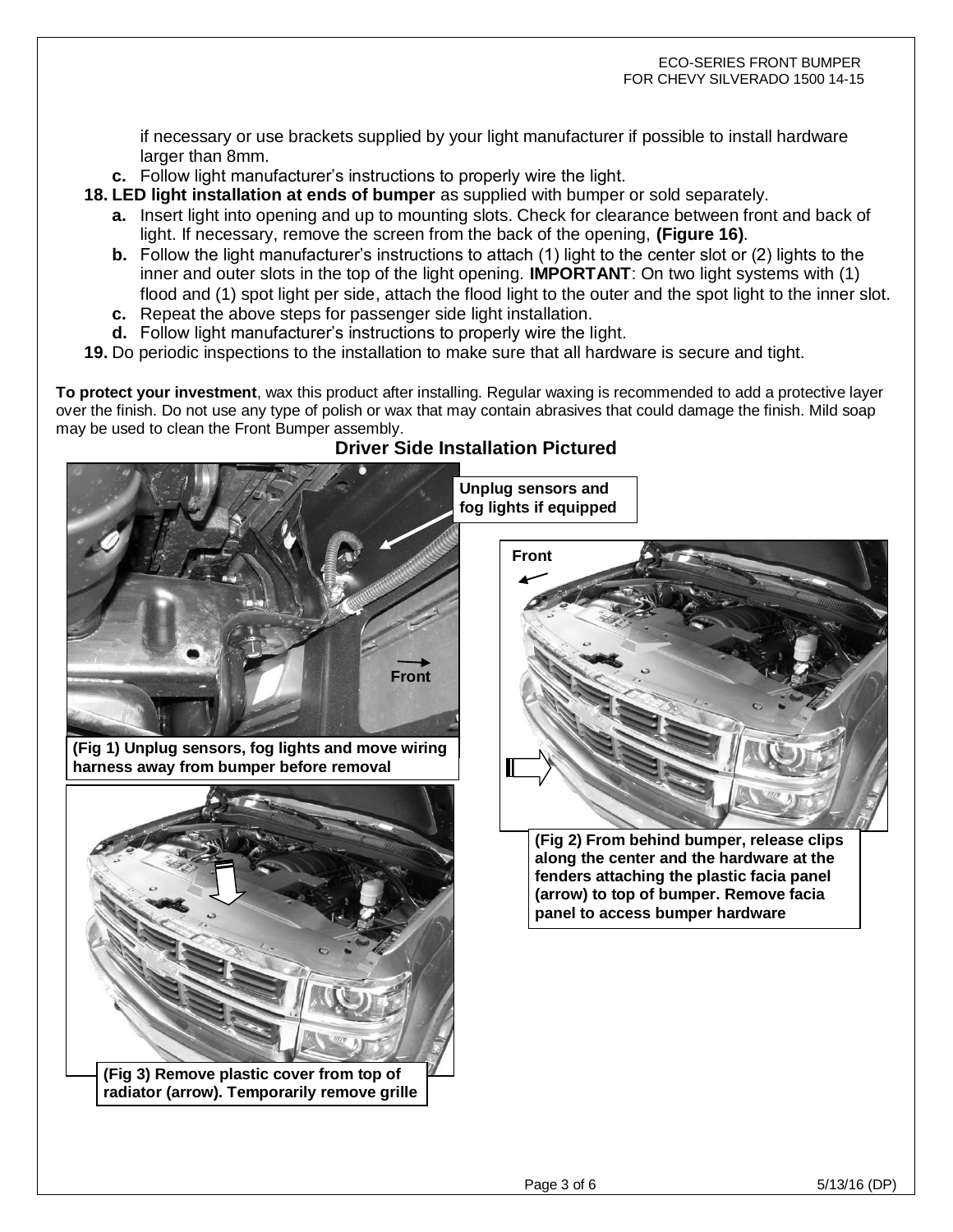# **Driver Side Installation Pictured**



**WARNING!** Do not crawl under bumper unless the bumper is properly supported on blocks or stands or the bumper may fall.



**(Fig 5) Remove plastic bracket (arrow) from bottom of headlight (driver/left side pictured)**



**(Fig 7) Reuse factory hex bolts to attach the driver/left Frame Bracket to frame mount**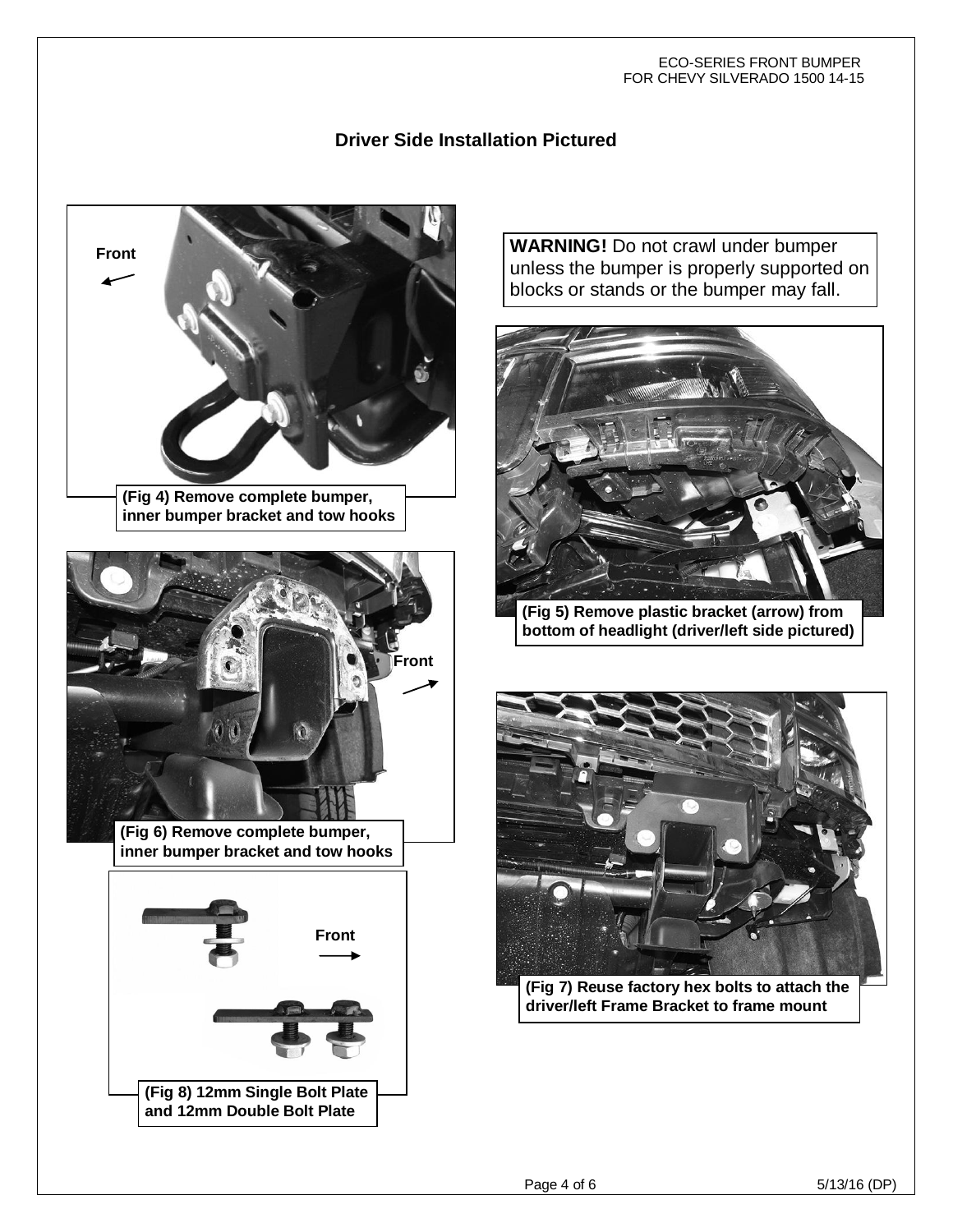# ECO-SERIES FRONT BUMPER